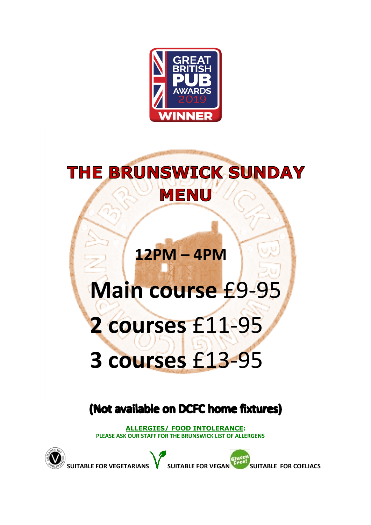

## **THE BRUNSWICK SUNDAY MENU**

## **12PM – 4PM**

# **Main course** £9-95

# **2 courses** £11-95 **3 courses** £13-95

## (Not available on DCFC home fixtures)

**ALLERGIES/ FOOD INTOLERANCE: PLEASE ASK OUR STAFF FOR THE BRUNSWICK LIST OF ALLERGENS**

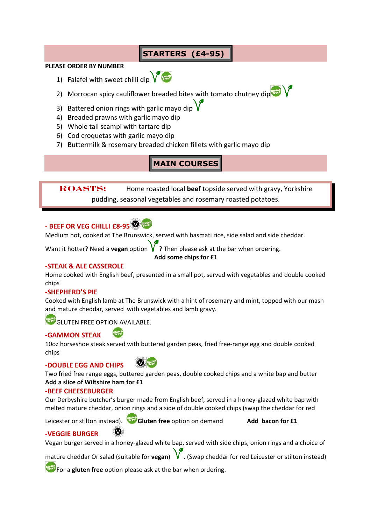#### **STARTERS (£4-95)**

#### **PLEASE ORDER BY NUMBER**

1) Falafel with sweet chilli dip  $\sqrt{\frac{1}{2}}$ 



- 2) Morrocan spicy cauliflower breaded bites with tomato chutney dip
- 3) Battered onion rings with garlic mayo dip  $\sqrt{\ }$
- 4) Breaded prawns with garlic mayo dip
- 5) Whole tail scampi with tartare dip
- 6) Cod croquetas with garlic mayo dip
- 7) Buttermilk & rosemary breaded chicken fillets with garlic mayo dip

#### **MAIN COURSES**

**ROASTs:** Home roasted local **beef** topside served with gravy, Yorkshire pudding, seasonal vegetables and rosemary roasted potatoes.

#### **- BEEF OR VEG CHILLI £8-95**

Medium hot, cooked at The Brunswick, served with basmati rice, side salad and side cheddar.

Want it hotter? Need a **vegan** option  $V$ ? Then please ask at the bar when ordering.

**Add some chips for £1**

#### **-STEAK & ALE CASSEROLE**

Home cooked with English beef, presented in a small pot, served with vegetables and double cooked chips

#### **-SHEPHERD'S PIE**

Cooked with English lamb at The Brunswick with a hint of rosemary and mint, topped with our mash and mature cheddar, served with vegetables and lamb gravy.

GLUTEN FREE OPTION AVAILABLE.

#### **-GAMMON STEAK**

10oz horseshoe steak served with buttered garden peas, fried free-range egg and double cooked chips

#### **-DOUBLE EGG AND CHIPS**

Weuten

Two fried free range eggs, buttered garden peas, double cooked chips and a white bap and butter **Add a slice of Wiltshire ham for £1**

#### **-BEEF CHEESEBURGER**

Our Derbyshire butcher's burger made from English beef, served in a honey-glazed white bap with melted mature cheddar, onion rings and a side of double cooked chips (swap the cheddar for red

Leicester or stilton instead). **Gluten free** option on demand **Add bacon for £1**

#### **-VEGGIE BURGER**

Vegan burger served in a honey-glazed white bap, served with side chips, onion rings and a choice of

mature cheddar Or salad (suitable for **vegan**) **W**. (Swap cheddar for red Leicester or stilton instead)

**For a gluten free** option please ask at the bar when ordering.

 $\left( \bigcirc \right)$